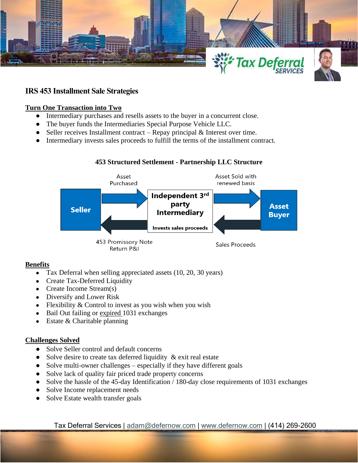

# **IRS 453 Installment Sale Strategies**

# **Turn One Transaction into Two**

- Intermediary purchases and resells assets to the buyer in a concurrent close.
- The buyer funds the Intermediaries Special Purpose Vehicle LLC.
- Seller receives Installment contract Repay principal  $\&$  Interest over time.
- Intermediary invests sales proceeds to fulfill the terms of the installment contract.

# **453 Structured Settlement - Partnership LLC Structure**



## **Benefits**

- Tax Deferral when selling appreciated assets (10, 20, 30 years)
- Create Tax-Deferred Liquidity
- Create Income Stream(s)
- Diversify and Lower Risk
- Flexibility  $&$  Control to invest as you wish when you wish
- Bail Out failing or expired 1031 exchanges
- $\bullet$  Estate & Charitable planning

## **Challenges Solved**

- Solve Seller control and default concerns
- Solve desire to create tax deferred liquidity  $\&$  exit real estate
- Solve multi-owner challenges especially if they have different goals
- Solve lack of quality fair priced trade property concerns
- Solve the hassle of the 45-day Identification / 180-day close requirements of 1031 exchanges
- Solve Income replacement needs
- Solve Estate wealth transfer goals

Tax Deferral Services | [adam@defernow.com](mailto:adam@defernow.com) | [www.defernow.com](http://www.defernow.com/) | (414) 269-2600